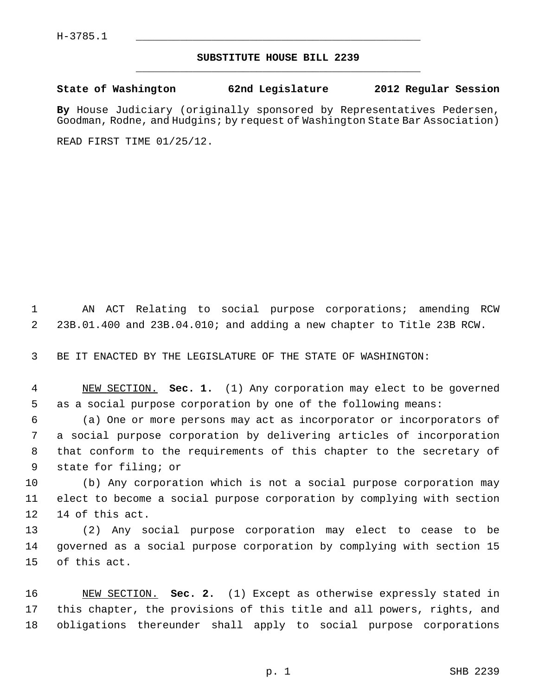## **SUBSTITUTE HOUSE BILL 2239** \_\_\_\_\_\_\_\_\_\_\_\_\_\_\_\_\_\_\_\_\_\_\_\_\_\_\_\_\_\_\_\_\_\_\_\_\_\_\_\_\_\_\_\_\_

## **State of Washington 62nd Legislature 2012 Regular Session**

**By** House Judiciary (originally sponsored by Representatives Pedersen, Goodman, Rodne, and Hudgins; by request of Washington State Bar Association)

READ FIRST TIME 01/25/12.

 1 AN ACT Relating to social purpose corporations; amending RCW 2 23B.01.400 and 23B.04.010; and adding a new chapter to Title 23B RCW.

3 BE IT ENACTED BY THE LEGISLATURE OF THE STATE OF WASHINGTON:

 4 NEW SECTION. **Sec. 1.** (1) Any corporation may elect to be governed 5 as a social purpose corporation by one of the following means:

 6 (a) One or more persons may act as incorporator or incorporators of 7 a social purpose corporation by delivering articles of incorporation 8 that conform to the requirements of this chapter to the secretary of 9 state for filing; or

10 (b) Any corporation which is not a social purpose corporation may 11 elect to become a social purpose corporation by complying with section 12 14 of this act.

13 (2) Any social purpose corporation may elect to cease to be 14 governed as a social purpose corporation by complying with section 15 15 of this act.

16 NEW SECTION. **Sec. 2.** (1) Except as otherwise expressly stated in 17 this chapter, the provisions of this title and all powers, rights, and 18 obligations thereunder shall apply to social purpose corporations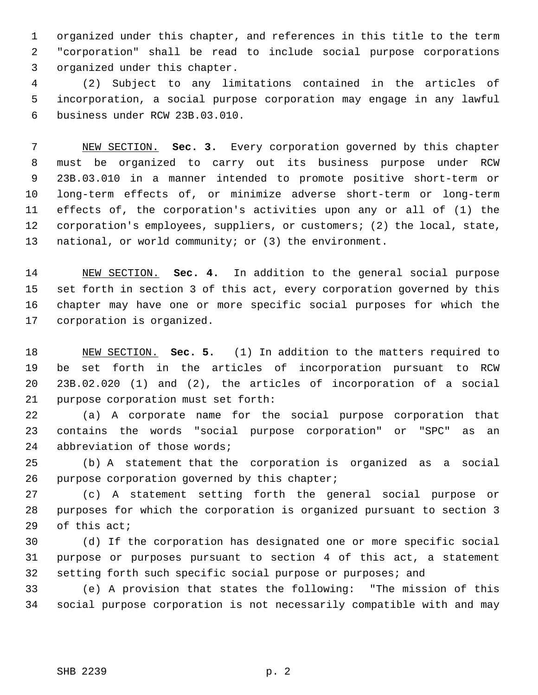1 organized under this chapter, and references in this title to the term 2 "corporation" shall be read to include social purpose corporations 3 organized under this chapter.

 4 (2) Subject to any limitations contained in the articles of 5 incorporation, a social purpose corporation may engage in any lawful 6 business under RCW 23B.03.010.

 7 NEW SECTION. **Sec. 3.** Every corporation governed by this chapter 8 must be organized to carry out its business purpose under RCW 9 23B.03.010 in a manner intended to promote positive short-term or 10 long-term effects of, or minimize adverse short-term or long-term 11 effects of, the corporation's activities upon any or all of (1) the 12 corporation's employees, suppliers, or customers; (2) the local, state, 13 national, or world community; or (3) the environment.

14 NEW SECTION. **Sec. 4.** In addition to the general social purpose 15 set forth in section 3 of this act, every corporation governed by this 16 chapter may have one or more specific social purposes for which the 17 corporation is organized.

18 NEW SECTION. **Sec. 5.** (1) In addition to the matters required to 19 be set forth in the articles of incorporation pursuant to RCW 20 23B.02.020 (1) and (2), the articles of incorporation of a social 21 purpose corporation must set forth:

22 (a) A corporate name for the social purpose corporation that 23 contains the words "social purpose corporation" or "SPC" as an 24 abbreviation of those words;

25 (b) A statement that the corporation is organized as a social 26 purpose corporation governed by this chapter;

27 (c) A statement setting forth the general social purpose or 28 purposes for which the corporation is organized pursuant to section 3 29 of this act;

30 (d) If the corporation has designated one or more specific social 31 purpose or purposes pursuant to section 4 of this act, a statement 32 setting forth such specific social purpose or purposes; and

33 (e) A provision that states the following: "The mission of this 34 social purpose corporation is not necessarily compatible with and may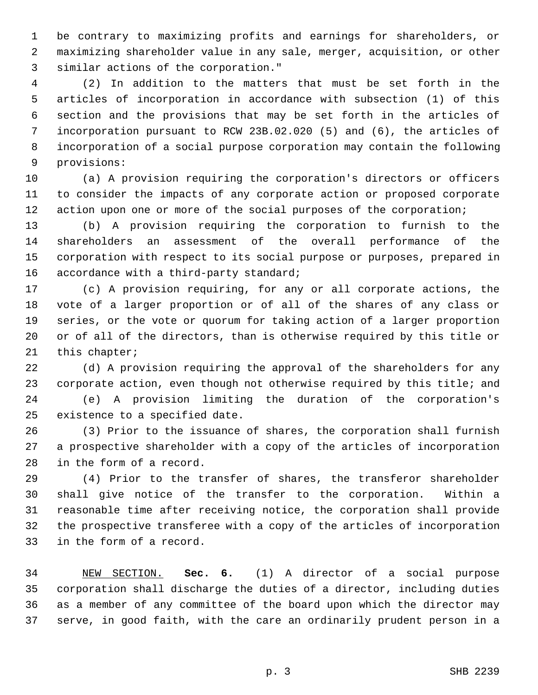1 be contrary to maximizing profits and earnings for shareholders, or 2 maximizing shareholder value in any sale, merger, acquisition, or other 3 similar actions of the corporation."

 4 (2) In addition to the matters that must be set forth in the 5 articles of incorporation in accordance with subsection (1) of this 6 section and the provisions that may be set forth in the articles of 7 incorporation pursuant to RCW 23B.02.020 (5) and (6), the articles of 8 incorporation of a social purpose corporation may contain the following 9 provisions:

10 (a) A provision requiring the corporation's directors or officers 11 to consider the impacts of any corporate action or proposed corporate 12 action upon one or more of the social purposes of the corporation;

13 (b) A provision requiring the corporation to furnish to the 14 shareholders an assessment of the overall performance of the 15 corporation with respect to its social purpose or purposes, prepared in 16 accordance with a third-party standard;

17 (c) A provision requiring, for any or all corporate actions, the 18 vote of a larger proportion or of all of the shares of any class or 19 series, or the vote or quorum for taking action of a larger proportion 20 or of all of the directors, than is otherwise required by this title or 21 this chapter;

22 (d) A provision requiring the approval of the shareholders for any 23 corporate action, even though not otherwise required by this title; and 24 (e) A provision limiting the duration of the corporation's 25 existence to a specified date.

26 (3) Prior to the issuance of shares, the corporation shall furnish 27 a prospective shareholder with a copy of the articles of incorporation 28 in the form of a record.

29 (4) Prior to the transfer of shares, the transferor shareholder 30 shall give notice of the transfer to the corporation. Within a 31 reasonable time after receiving notice, the corporation shall provide 32 the prospective transferee with a copy of the articles of incorporation 33 in the form of a record.

34 NEW SECTION. **Sec. 6.** (1) A director of a social purpose 35 corporation shall discharge the duties of a director, including duties 36 as a member of any committee of the board upon which the director may 37 serve, in good faith, with the care an ordinarily prudent person in a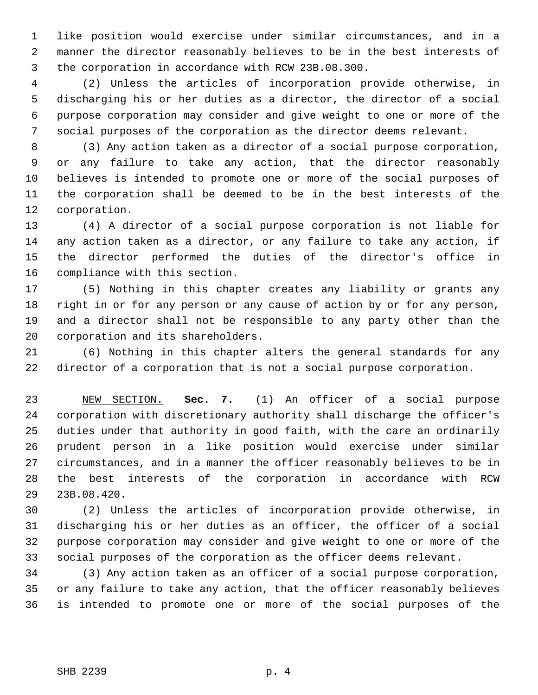1 like position would exercise under similar circumstances, and in a 2 manner the director reasonably believes to be in the best interests of 3 the corporation in accordance with RCW 23B.08.300.

 4 (2) Unless the articles of incorporation provide otherwise, in 5 discharging his or her duties as a director, the director of a social 6 purpose corporation may consider and give weight to one or more of the 7 social purposes of the corporation as the director deems relevant.

 8 (3) Any action taken as a director of a social purpose corporation, 9 or any failure to take any action, that the director reasonably 10 believes is intended to promote one or more of the social purposes of 11 the corporation shall be deemed to be in the best interests of the 12 corporation.

13 (4) A director of a social purpose corporation is not liable for 14 any action taken as a director, or any failure to take any action, if 15 the director performed the duties of the director's office in 16 compliance with this section.

17 (5) Nothing in this chapter creates any liability or grants any 18 right in or for any person or any cause of action by or for any person, 19 and a director shall not be responsible to any party other than the 20 corporation and its shareholders.

21 (6) Nothing in this chapter alters the general standards for any 22 director of a corporation that is not a social purpose corporation.

23 NEW SECTION. **Sec. 7.** (1) An officer of a social purpose 24 corporation with discretionary authority shall discharge the officer's 25 duties under that authority in good faith, with the care an ordinarily 26 prudent person in a like position would exercise under similar 27 circumstances, and in a manner the officer reasonably believes to be in 28 the best interests of the corporation in accordance with RCW 29 23B.08.420.

30 (2) Unless the articles of incorporation provide otherwise, in 31 discharging his or her duties as an officer, the officer of a social 32 purpose corporation may consider and give weight to one or more of the 33 social purposes of the corporation as the officer deems relevant.

34 (3) Any action taken as an officer of a social purpose corporation, 35 or any failure to take any action, that the officer reasonably believes 36 is intended to promote one or more of the social purposes of the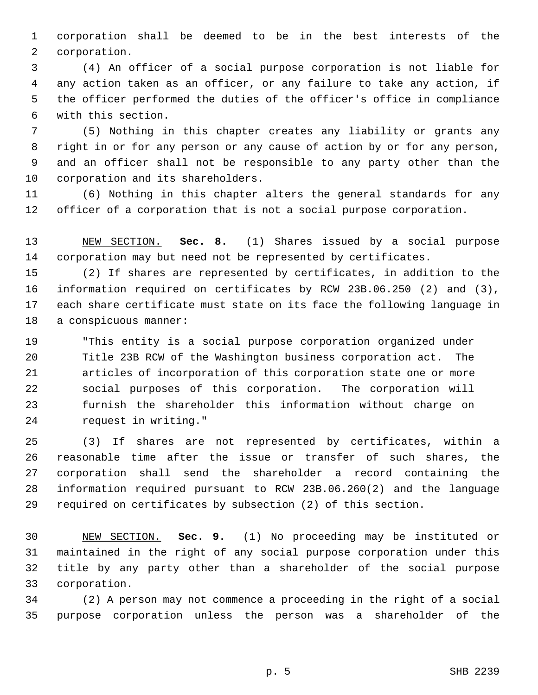1 corporation shall be deemed to be in the best interests of the 2 corporation.

 3 (4) An officer of a social purpose corporation is not liable for 4 any action taken as an officer, or any failure to take any action, if 5 the officer performed the duties of the officer's office in compliance 6 with this section.

 7 (5) Nothing in this chapter creates any liability or grants any 8 right in or for any person or any cause of action by or for any person, 9 and an officer shall not be responsible to any party other than the 10 corporation and its shareholders.

11 (6) Nothing in this chapter alters the general standards for any 12 officer of a corporation that is not a social purpose corporation.

13 NEW SECTION. **Sec. 8.** (1) Shares issued by a social purpose 14 corporation may but need not be represented by certificates.

15 (2) If shares are represented by certificates, in addition to the 16 information required on certificates by RCW 23B.06.250 (2) and (3), 17 each share certificate must state on its face the following language in 18 a conspicuous manner:

19 "This entity is a social purpose corporation organized under 20 Title 23B RCW of the Washington business corporation act. The 21 articles of incorporation of this corporation state one or more 22 social purposes of this corporation. The corporation will 23 furnish the shareholder this information without charge on 24 request in writing."

25 (3) If shares are not represented by certificates, within a 26 reasonable time after the issue or transfer of such shares, the 27 corporation shall send the shareholder a record containing the 28 information required pursuant to RCW 23B.06.260(2) and the language 29 required on certificates by subsection (2) of this section.

30 NEW SECTION. **Sec. 9.** (1) No proceeding may be instituted or 31 maintained in the right of any social purpose corporation under this 32 title by any party other than a shareholder of the social purpose 33 corporation.

34 (2) A person may not commence a proceeding in the right of a social 35 purpose corporation unless the person was a shareholder of the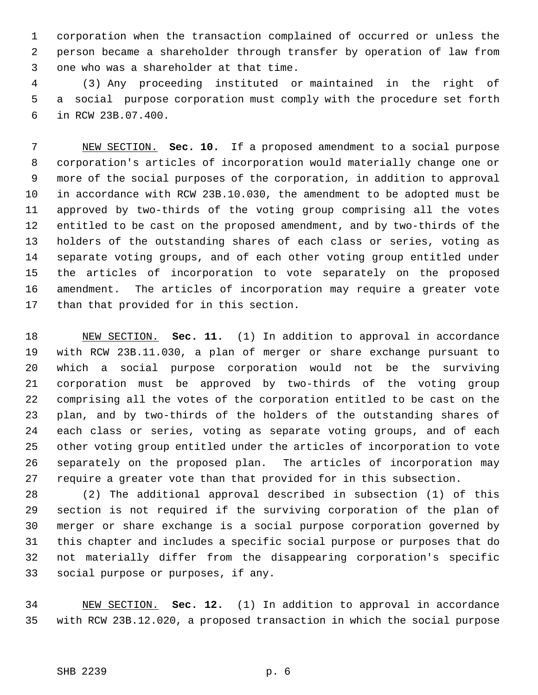1 corporation when the transaction complained of occurred or unless the 2 person became a shareholder through transfer by operation of law from 3 one who was a shareholder at that time.

 4 (3) Any proceeding instituted or maintained in the right of 5 a social purpose corporation must comply with the procedure set forth 6 in RCW 23B.07.400.

 7 NEW SECTION. **Sec. 10.** If a proposed amendment to a social purpose 8 corporation's articles of incorporation would materially change one or 9 more of the social purposes of the corporation, in addition to approval 10 in accordance with RCW 23B.10.030, the amendment to be adopted must be 11 approved by two-thirds of the voting group comprising all the votes 12 entitled to be cast on the proposed amendment, and by two-thirds of the 13 holders of the outstanding shares of each class or series, voting as 14 separate voting groups, and of each other voting group entitled under 15 the articles of incorporation to vote separately on the proposed 16 amendment. The articles of incorporation may require a greater vote 17 than that provided for in this section.

18 NEW SECTION. **Sec. 11.** (1) In addition to approval in accordance 19 with RCW 23B.11.030, a plan of merger or share exchange pursuant to 20 which a social purpose corporation would not be the surviving 21 corporation must be approved by two-thirds of the voting group 22 comprising all the votes of the corporation entitled to be cast on the 23 plan, and by two-thirds of the holders of the outstanding shares of 24 each class or series, voting as separate voting groups, and of each 25 other voting group entitled under the articles of incorporation to vote 26 separately on the proposed plan. The articles of incorporation may 27 require a greater vote than that provided for in this subsection.

28 (2) The additional approval described in subsection (1) of this 29 section is not required if the surviving corporation of the plan of 30 merger or share exchange is a social purpose corporation governed by 31 this chapter and includes a specific social purpose or purposes that do 32 not materially differ from the disappearing corporation's specific 33 social purpose or purposes, if any.

34 NEW SECTION. **Sec. 12.** (1) In addition to approval in accordance 35 with RCW 23B.12.020, a proposed transaction in which the social purpose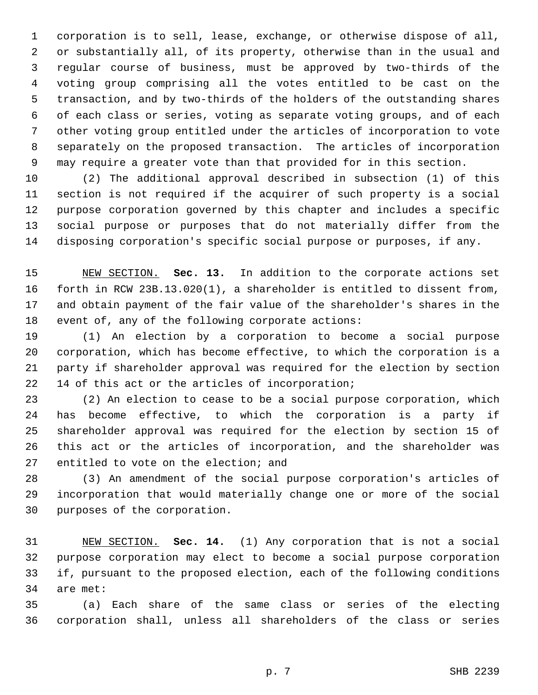1 corporation is to sell, lease, exchange, or otherwise dispose of all, 2 or substantially all, of its property, otherwise than in the usual and 3 regular course of business, must be approved by two-thirds of the 4 voting group comprising all the votes entitled to be cast on the 5 transaction, and by two-thirds of the holders of the outstanding shares 6 of each class or series, voting as separate voting groups, and of each 7 other voting group entitled under the articles of incorporation to vote 8 separately on the proposed transaction. The articles of incorporation 9 may require a greater vote than that provided for in this section.

10 (2) The additional approval described in subsection (1) of this 11 section is not required if the acquirer of such property is a social 12 purpose corporation governed by this chapter and includes a specific 13 social purpose or purposes that do not materially differ from the 14 disposing corporation's specific social purpose or purposes, if any.

15 NEW SECTION. **Sec. 13.** In addition to the corporate actions set 16 forth in RCW 23B.13.020(1), a shareholder is entitled to dissent from, 17 and obtain payment of the fair value of the shareholder's shares in the 18 event of, any of the following corporate actions:

19 (1) An election by a corporation to become a social purpose 20 corporation, which has become effective, to which the corporation is a 21 party if shareholder approval was required for the election by section 22 14 of this act or the articles of incorporation;

23 (2) An election to cease to be a social purpose corporation, which 24 has become effective, to which the corporation is a party if 25 shareholder approval was required for the election by section 15 of 26 this act or the articles of incorporation, and the shareholder was 27 entitled to vote on the election; and

28 (3) An amendment of the social purpose corporation's articles of 29 incorporation that would materially change one or more of the social 30 purposes of the corporation.

31 NEW SECTION. **Sec. 14.** (1) Any corporation that is not a social 32 purpose corporation may elect to become a social purpose corporation 33 if, pursuant to the proposed election, each of the following conditions 34 are met:

35 (a) Each share of the same class or series of the electing 36 corporation shall, unless all shareholders of the class or series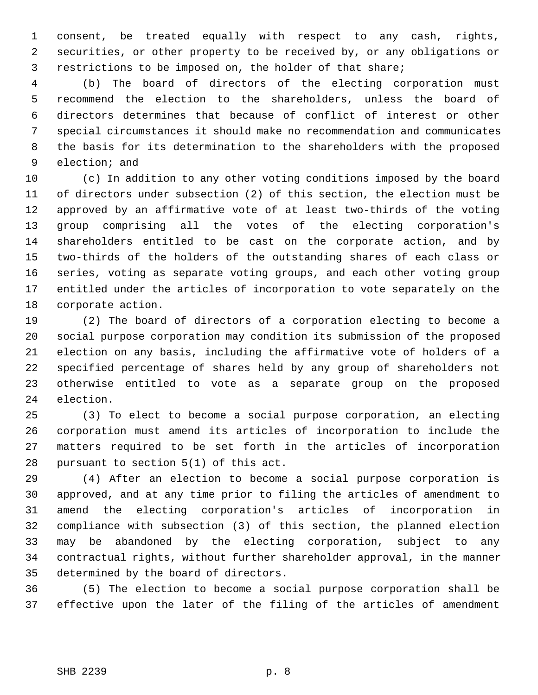1 consent, be treated equally with respect to any cash, rights, 2 securities, or other property to be received by, or any obligations or 3 restrictions to be imposed on, the holder of that share;

 4 (b) The board of directors of the electing corporation must 5 recommend the election to the shareholders, unless the board of 6 directors determines that because of conflict of interest or other 7 special circumstances it should make no recommendation and communicates 8 the basis for its determination to the shareholders with the proposed 9 election; and

10 (c) In addition to any other voting conditions imposed by the board 11 of directors under subsection (2) of this section, the election must be 12 approved by an affirmative vote of at least two-thirds of the voting 13 group comprising all the votes of the electing corporation's 14 shareholders entitled to be cast on the corporate action, and by 15 two-thirds of the holders of the outstanding shares of each class or 16 series, voting as separate voting groups, and each other voting group 17 entitled under the articles of incorporation to vote separately on the 18 corporate action.

19 (2) The board of directors of a corporation electing to become a 20 social purpose corporation may condition its submission of the proposed 21 election on any basis, including the affirmative vote of holders of a 22 specified percentage of shares held by any group of shareholders not 23 otherwise entitled to vote as a separate group on the proposed 24 election.

25 (3) To elect to become a social purpose corporation, an electing 26 corporation must amend its articles of incorporation to include the 27 matters required to be set forth in the articles of incorporation 28 pursuant to section 5(1) of this act.

29 (4) After an election to become a social purpose corporation is 30 approved, and at any time prior to filing the articles of amendment to 31 amend the electing corporation's articles of incorporation in 32 compliance with subsection (3) of this section, the planned election 33 may be abandoned by the electing corporation, subject to any 34 contractual rights, without further shareholder approval, in the manner 35 determined by the board of directors.

36 (5) The election to become a social purpose corporation shall be 37 effective upon the later of the filing of the articles of amendment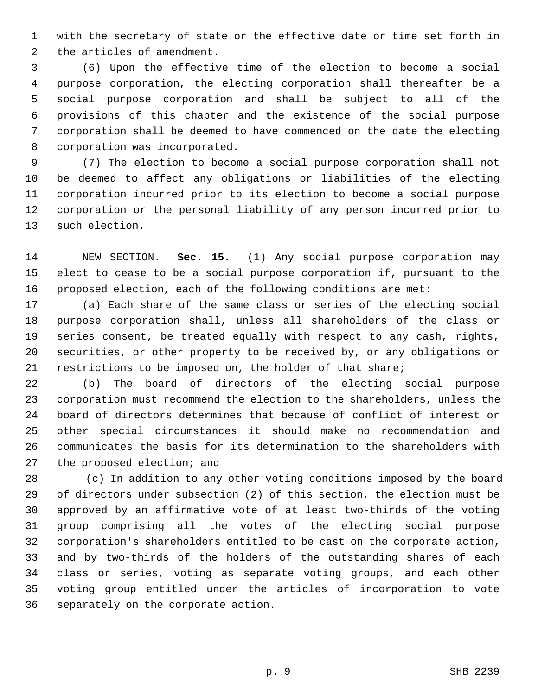1 with the secretary of state or the effective date or time set forth in 2 the articles of amendment.

 3 (6) Upon the effective time of the election to become a social 4 purpose corporation, the electing corporation shall thereafter be a 5 social purpose corporation and shall be subject to all of the 6 provisions of this chapter and the existence of the social purpose 7 corporation shall be deemed to have commenced on the date the electing 8 corporation was incorporated.

 9 (7) The election to become a social purpose corporation shall not 10 be deemed to affect any obligations or liabilities of the electing 11 corporation incurred prior to its election to become a social purpose 12 corporation or the personal liability of any person incurred prior to 13 such election.

14 NEW SECTION. **Sec. 15.** (1) Any social purpose corporation may 15 elect to cease to be a social purpose corporation if, pursuant to the 16 proposed election, each of the following conditions are met:

17 (a) Each share of the same class or series of the electing social 18 purpose corporation shall, unless all shareholders of the class or 19 series consent, be treated equally with respect to any cash, rights, 20 securities, or other property to be received by, or any obligations or 21 restrictions to be imposed on, the holder of that share;

22 (b) The board of directors of the electing social purpose 23 corporation must recommend the election to the shareholders, unless the 24 board of directors determines that because of conflict of interest or 25 other special circumstances it should make no recommendation and 26 communicates the basis for its determination to the shareholders with 27 the proposed election; and

28 (c) In addition to any other voting conditions imposed by the board 29 of directors under subsection (2) of this section, the election must be 30 approved by an affirmative vote of at least two-thirds of the voting 31 group comprising all the votes of the electing social purpose 32 corporation's shareholders entitled to be cast on the corporate action, 33 and by two-thirds of the holders of the outstanding shares of each 34 class or series, voting as separate voting groups, and each other 35 voting group entitled under the articles of incorporation to vote 36 separately on the corporate action.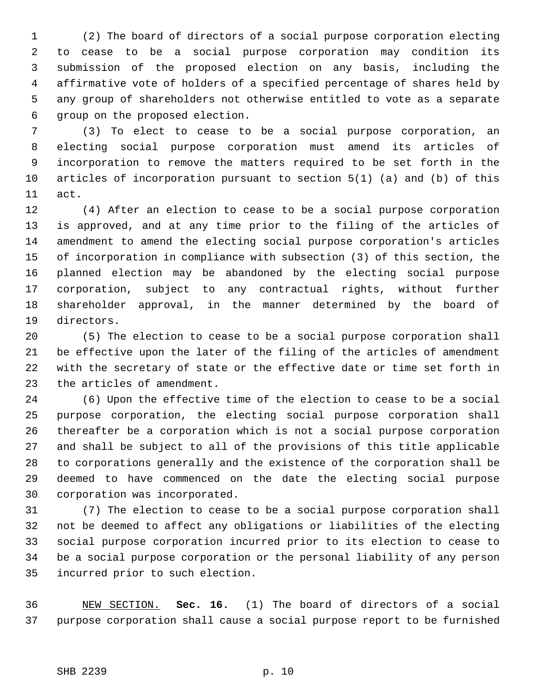1 (2) The board of directors of a social purpose corporation electing 2 to cease to be a social purpose corporation may condition its 3 submission of the proposed election on any basis, including the 4 affirmative vote of holders of a specified percentage of shares held by 5 any group of shareholders not otherwise entitled to vote as a separate 6 group on the proposed election.

 7 (3) To elect to cease to be a social purpose corporation, an 8 electing social purpose corporation must amend its articles of 9 incorporation to remove the matters required to be set forth in the 10 articles of incorporation pursuant to section 5(1) (a) and (b) of this 11 act.

12 (4) After an election to cease to be a social purpose corporation 13 is approved, and at any time prior to the filing of the articles of 14 amendment to amend the electing social purpose corporation's articles 15 of incorporation in compliance with subsection (3) of this section, the 16 planned election may be abandoned by the electing social purpose 17 corporation, subject to any contractual rights, without further 18 shareholder approval, in the manner determined by the board of 19 directors.

20 (5) The election to cease to be a social purpose corporation shall 21 be effective upon the later of the filing of the articles of amendment 22 with the secretary of state or the effective date or time set forth in 23 the articles of amendment.

24 (6) Upon the effective time of the election to cease to be a social 25 purpose corporation, the electing social purpose corporation shall 26 thereafter be a corporation which is not a social purpose corporation 27 and shall be subject to all of the provisions of this title applicable 28 to corporations generally and the existence of the corporation shall be 29 deemed to have commenced on the date the electing social purpose 30 corporation was incorporated.

31 (7) The election to cease to be a social purpose corporation shall 32 not be deemed to affect any obligations or liabilities of the electing 33 social purpose corporation incurred prior to its election to cease to 34 be a social purpose corporation or the personal liability of any person 35 incurred prior to such election.

36 NEW SECTION. **Sec. 16.** (1) The board of directors of a social 37 purpose corporation shall cause a social purpose report to be furnished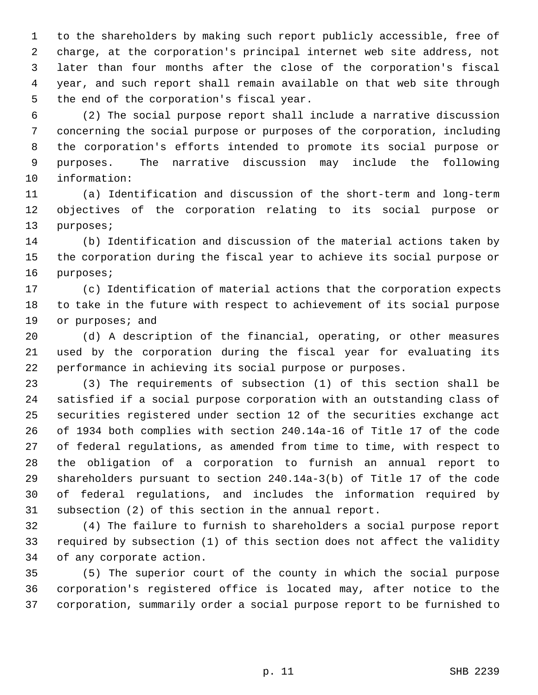1 to the shareholders by making such report publicly accessible, free of 2 charge, at the corporation's principal internet web site address, not 3 later than four months after the close of the corporation's fiscal 4 year, and such report shall remain available on that web site through 5 the end of the corporation's fiscal year.

 6 (2) The social purpose report shall include a narrative discussion 7 concerning the social purpose or purposes of the corporation, including 8 the corporation's efforts intended to promote its social purpose or 9 purposes. The narrative discussion may include the following 10 information:

11 (a) Identification and discussion of the short-term and long-term 12 objectives of the corporation relating to its social purpose or 13 purposes;

14 (b) Identification and discussion of the material actions taken by 15 the corporation during the fiscal year to achieve its social purpose or 16 purposes;

17 (c) Identification of material actions that the corporation expects 18 to take in the future with respect to achievement of its social purpose 19 or purposes; and

20 (d) A description of the financial, operating, or other measures 21 used by the corporation during the fiscal year for evaluating its 22 performance in achieving its social purpose or purposes.

23 (3) The requirements of subsection (1) of this section shall be 24 satisfied if a social purpose corporation with an outstanding class of 25 securities registered under section 12 of the securities exchange act 26 of 1934 both complies with section 240.14a-16 of Title 17 of the code 27 of federal regulations, as amended from time to time, with respect to 28 the obligation of a corporation to furnish an annual report to 29 shareholders pursuant to section 240.14a-3(b) of Title 17 of the code 30 of federal regulations, and includes the information required by 31 subsection (2) of this section in the annual report.

32 (4) The failure to furnish to shareholders a social purpose report 33 required by subsection (1) of this section does not affect the validity 34 of any corporate action.

35 (5) The superior court of the county in which the social purpose 36 corporation's registered office is located may, after notice to the 37 corporation, summarily order a social purpose report to be furnished to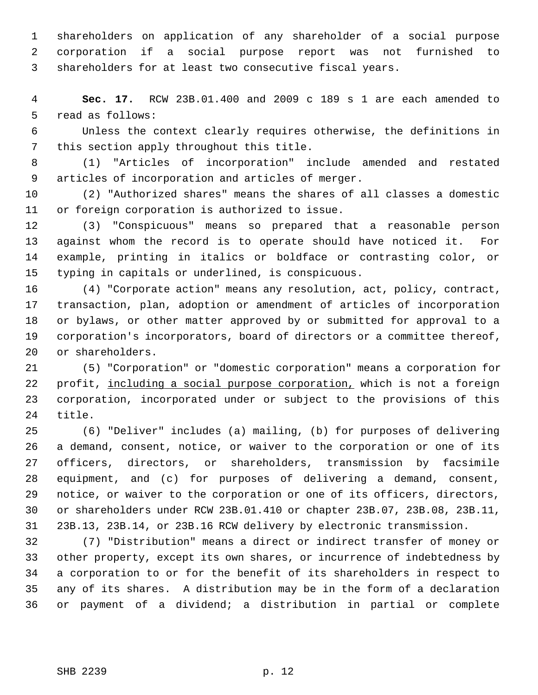1 shareholders on application of any shareholder of a social purpose 2 corporation if a social purpose report was not furnished to 3 shareholders for at least two consecutive fiscal years.

 4 **Sec. 17.** RCW 23B.01.400 and 2009 c 189 s 1 are each amended to 5 read as follows:

 6 Unless the context clearly requires otherwise, the definitions in 7 this section apply throughout this title.

 8 (1) "Articles of incorporation" include amended and restated 9 articles of incorporation and articles of merger.

10 (2) "Authorized shares" means the shares of all classes a domestic 11 or foreign corporation is authorized to issue.

12 (3) "Conspicuous" means so prepared that a reasonable person 13 against whom the record is to operate should have noticed it. For 14 example, printing in italics or boldface or contrasting color, or 15 typing in capitals or underlined, is conspicuous.

16 (4) "Corporate action" means any resolution, act, policy, contract, 17 transaction, plan, adoption or amendment of articles of incorporation 18 or bylaws, or other matter approved by or submitted for approval to a 19 corporation's incorporators, board of directors or a committee thereof, 20 or shareholders.

21 (5) "Corporation" or "domestic corporation" means a corporation for 22 profit, including a social purpose corporation, which is not a foreign 23 corporation, incorporated under or subject to the provisions of this 24 title.

25 (6) "Deliver" includes (a) mailing, (b) for purposes of delivering 26 a demand, consent, notice, or waiver to the corporation or one of its 27 officers, directors, or shareholders, transmission by facsimile 28 equipment, and (c) for purposes of delivering a demand, consent, 29 notice, or waiver to the corporation or one of its officers, directors, 30 or shareholders under RCW 23B.01.410 or chapter 23B.07, 23B.08, 23B.11, 31 23B.13, 23B.14, or 23B.16 RCW delivery by electronic transmission.

32 (7) "Distribution" means a direct or indirect transfer of money or 33 other property, except its own shares, or incurrence of indebtedness by 34 a corporation to or for the benefit of its shareholders in respect to 35 any of its shares. A distribution may be in the form of a declaration 36 or payment of a dividend; a distribution in partial or complete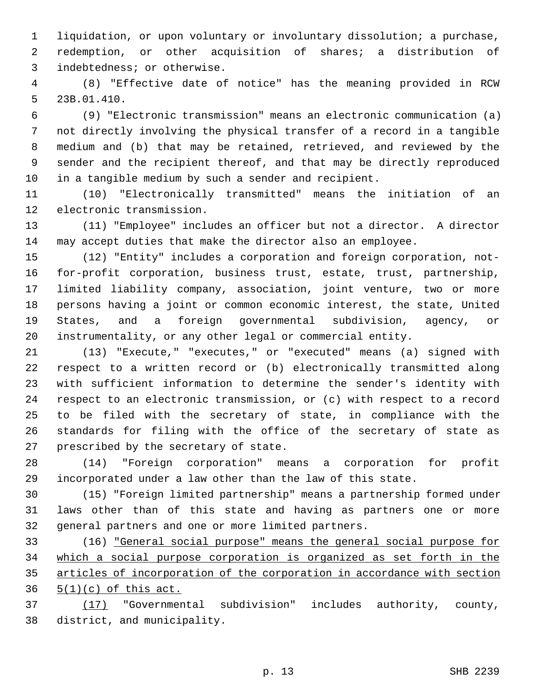1 liquidation, or upon voluntary or involuntary dissolution; a purchase, 2 redemption, or other acquisition of shares; a distribution of 3 indebtedness; or otherwise.

 4 (8) "Effective date of notice" has the meaning provided in RCW 5 23B.01.410.

 6 (9) "Electronic transmission" means an electronic communication (a) 7 not directly involving the physical transfer of a record in a tangible 8 medium and (b) that may be retained, retrieved, and reviewed by the 9 sender and the recipient thereof, and that may be directly reproduced 10 in a tangible medium by such a sender and recipient.

11 (10) "Electronically transmitted" means the initiation of an 12 electronic transmission.

13 (11) "Employee" includes an officer but not a director. A director 14 may accept duties that make the director also an employee.

15 (12) "Entity" includes a corporation and foreign corporation, not-16 for-profit corporation, business trust, estate, trust, partnership, 17 limited liability company, association, joint venture, two or more 18 persons having a joint or common economic interest, the state, United 19 States, and a foreign governmental subdivision, agency, or 20 instrumentality, or any other legal or commercial entity.

21 (13) "Execute," "executes," or "executed" means (a) signed with 22 respect to a written record or (b) electronically transmitted along 23 with sufficient information to determine the sender's identity with 24 respect to an electronic transmission, or (c) with respect to a record 25 to be filed with the secretary of state, in compliance with the 26 standards for filing with the office of the secretary of state as 27 prescribed by the secretary of state.

28 (14) "Foreign corporation" means a corporation for profit 29 incorporated under a law other than the law of this state.

30 (15) "Foreign limited partnership" means a partnership formed under 31 laws other than of this state and having as partners one or more 32 general partners and one or more limited partners.

33 (16) "General social purpose" means the general social purpose for 34 which a social purpose corporation is organized as set forth in the 35 articles of incorporation of the corporation in accordance with section  $36 \quad 5(1)(c)$  of this act.

37 (17) "Governmental subdivision" includes authority, county, 38 district, and municipality.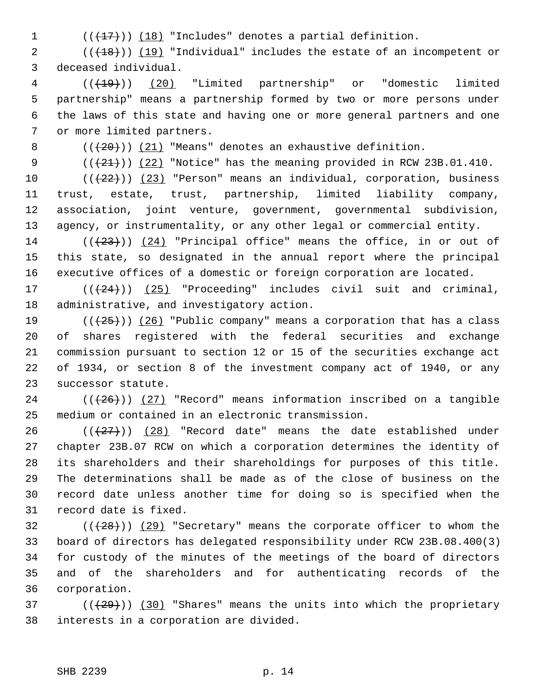1  $((+17))$   $(18)$  "Includes" denotes a partial definition.

2  $((+18))$  (19) "Individual" includes the estate of an incompetent or 3 deceased individual.

 4 (((19))) (20) "Limited partnership" or "domestic limited 5 partnership" means a partnership formed by two or more persons under 6 the laws of this state and having one or more general partners and one 7 or more limited partners.

8  $((+20))$   $(21)$  "Means" denotes an exhaustive definition.

9  $((21))$   $(22)$  "Notice" has the meaning provided in RCW 23B.01.410.

10  $((+22))$   $(23)$  "Person" means an individual, corporation, business 11 trust, estate, trust, partnership, limited liability company, 12 association, joint venture, government, governmental subdivision, 13 agency, or instrumentality, or any other legal or commercial entity.

14  $((+23))$   $(24)$  "Principal office" means the office, in or out of 15 this state, so designated in the annual report where the principal 16 executive offices of a domestic or foreign corporation are located.

17  $((+24))$   $(25)$  "Proceeding" includes civil suit and criminal, 18 administrative, and investigatory action.

19 ( $(\frac{25}{19})$  (26) "Public company" means a corporation that has a class 20 of shares registered with the federal securities and exchange 21 commission pursuant to section 12 or 15 of the securities exchange act 22 of 1934, or section 8 of the investment company act of 1940, or any 23 successor statute.

 $24$  ( $(\overline{26})$ ) (27) "Record" means information inscribed on a tangible 25 medium or contained in an electronic transmission.

26  $((+27))$  (28) "Record date" means the date established under 27 chapter 23B.07 RCW on which a corporation determines the identity of 28 its shareholders and their shareholdings for purposes of this title. 29 The determinations shall be made as of the close of business on the 30 record date unless another time for doing so is specified when the 31 record date is fixed.

 $32$  (( $(28)$ )) (29) "Secretary" means the corporate officer to whom the 33 board of directors has delegated responsibility under RCW 23B.08.400(3) 34 for custody of the minutes of the meetings of the board of directors 35 and of the shareholders and for authenticating records of the 36 corporation.

 $37$  ( $(\frac{29}{1})$ ) (30) "Shares" means the units into which the proprietary 38 interests in a corporation are divided.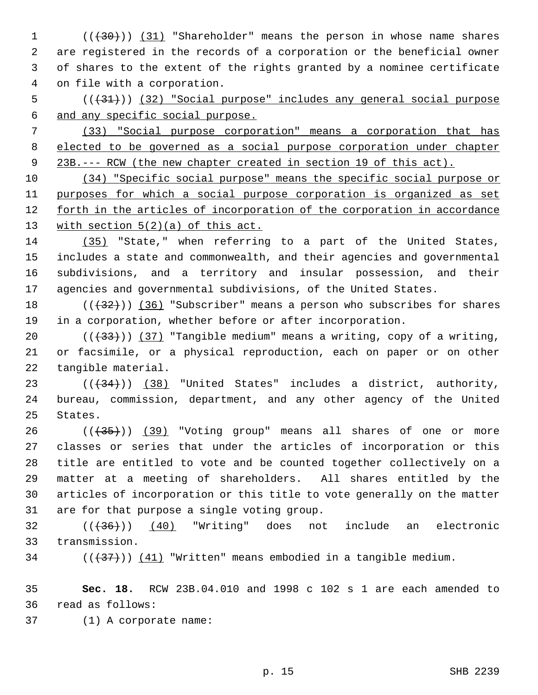$1$  ( $(\overline{+30})$ ) (31) "Shareholder" means the person in whose name shares 2 are registered in the records of a corporation or the beneficial owner 3 of shares to the extent of the rights granted by a nominee certificate 4 on file with a corporation.

 $5$  (( $(31)$ )) (32) "Social purpose" includes any general social purpose 6 and any specific social purpose.

 7 (33) "Social purpose corporation" means a corporation that has 8 elected to be governed as a social purpose corporation under chapter 9 23B.--- RCW (the new chapter created in section 19 of this act).

 (34) "Specific social purpose" means the specific social purpose or purposes for which a social purpose corporation is organized as set forth in the articles of incorporation of the corporation in accordance with section 5(2)(a) of this act.

14 (35) "State," when referring to a part of the United States, 15 includes a state and commonwealth, and their agencies and governmental 16 subdivisions, and a territory and insular possession, and their 17 agencies and governmental subdivisions, of the United States.

18  $((+32))$  (36) "Subscriber" means a person who subscribes for shares 19 in a corporation, whether before or after incorporation.

20  $((33))$  (37) "Tangible medium" means a writing, copy of a writing, 21 or facsimile, or a physical reproduction, each on paper or on other 22 tangible material.

23  $((+34))$   $(38)$  "United States" includes a district, authority, 24 bureau, commission, department, and any other agency of the United 25 States.

 $26$  ( $(\overline{35})$ ) (39) "Voting group" means all shares of one or more 27 classes or series that under the articles of incorporation or this 28 title are entitled to vote and be counted together collectively on a 29 matter at a meeting of shareholders. All shares entitled by the 30 articles of incorporation or this title to vote generally on the matter 31 are for that purpose a single voting group.

 $32$   $((+36))$   $(40)$  "Writing" does not include an electronic 33 transmission.

34  $((+37))$   $(41)$  "Written" means embodied in a tangible medium.

35 **Sec. 18.** RCW 23B.04.010 and 1998 c 102 s 1 are each amended to 36 read as follows:

37 (1) A corporate name: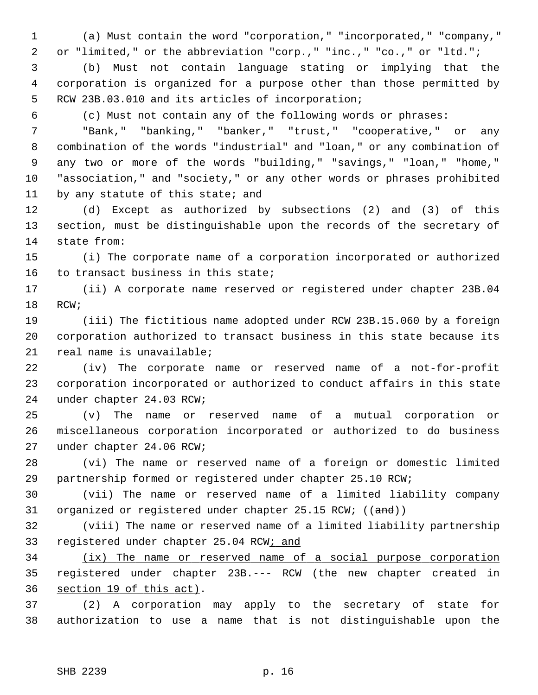1 (a) Must contain the word "corporation," "incorporated," "company," 2 or "limited," or the abbreviation "corp.," "inc.," "co.," or "ltd.";

 3 (b) Must not contain language stating or implying that the 4 corporation is organized for a purpose other than those permitted by 5 RCW 23B.03.010 and its articles of incorporation;

6 (c) Must not contain any of the following words or phrases:

 7 "Bank," "banking," "banker," "trust," "cooperative," or any 8 combination of the words "industrial" and "loan," or any combination of 9 any two or more of the words "building," "savings," "loan," "home," 10 "association," and "society," or any other words or phrases prohibited 11 by any statute of this state; and

12 (d) Except as authorized by subsections (2) and (3) of this 13 section, must be distinguishable upon the records of the secretary of 14 state from:

15 (i) The corporate name of a corporation incorporated or authorized 16 to transact business in this state;

17 (ii) A corporate name reserved or registered under chapter 23B.04 18 RCW;

19 (iii) The fictitious name adopted under RCW 23B.15.060 by a foreign 20 corporation authorized to transact business in this state because its 21 real name is unavailable;

22 (iv) The corporate name or reserved name of a not-for-profit 23 corporation incorporated or authorized to conduct affairs in this state 24 under chapter 24.03 RCW;

25 (v) The name or reserved name of a mutual corporation or 26 miscellaneous corporation incorporated or authorized to do business 27 under chapter 24.06 RCW;

28 (vi) The name or reserved name of a foreign or domestic limited 29 partnership formed or registered under chapter 25.10 RCW;

30 (vii) The name or reserved name of a limited liability company 31 organized or registered under chapter 25.15 RCW; ((and))

32 (viii) The name or reserved name of a limited liability partnership 33 registered under chapter 25.04 RCW; and

34 (ix) The name or reserved name of a social purpose corporation 35 registered under chapter 23B.--- RCW (the new chapter created in 36 section 19 of this act).

37 (2) A corporation may apply to the secretary of state for 38 authorization to use a name that is not distinguishable upon the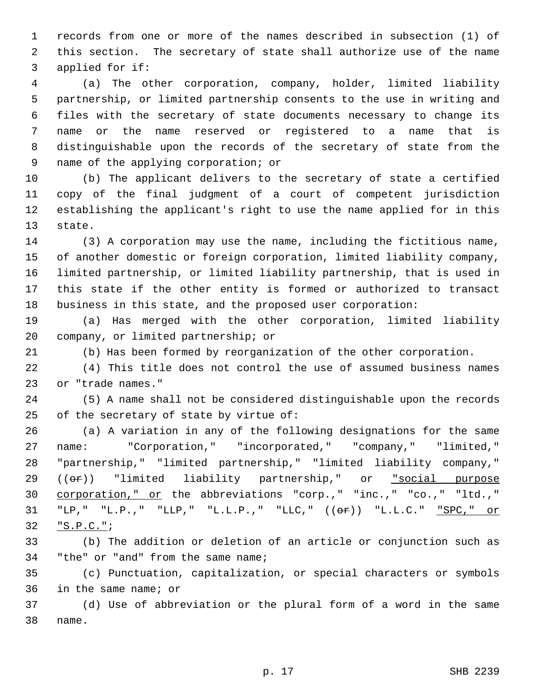1 records from one or more of the names described in subsection (1) of 2 this section. The secretary of state shall authorize use of the name 3 applied for if:

 4 (a) The other corporation, company, holder, limited liability 5 partnership, or limited partnership consents to the use in writing and 6 files with the secretary of state documents necessary to change its 7 name or the name reserved or registered to a name that is 8 distinguishable upon the records of the secretary of state from the 9 name of the applying corporation; or

10 (b) The applicant delivers to the secretary of state a certified 11 copy of the final judgment of a court of competent jurisdiction 12 establishing the applicant's right to use the name applied for in this 13 state.

14 (3) A corporation may use the name, including the fictitious name, 15 of another domestic or foreign corporation, limited liability company, 16 limited partnership, or limited liability partnership, that is used in 17 this state if the other entity is formed or authorized to transact 18 business in this state, and the proposed user corporation:

19 (a) Has merged with the other corporation, limited liability 20 company, or limited partnership; or

21 (b) Has been formed by reorganization of the other corporation.

22 (4) This title does not control the use of assumed business names 23 or "trade names."

24 (5) A name shall not be considered distinguishable upon the records 25 of the secretary of state by virtue of:

26 (a) A variation in any of the following designations for the same 27 name: "Corporation," "incorporated," "company," "limited," 28 "partnership," "limited partnership," "limited liability company,"  $29$   $((**or**))$  "limited liability partnership," or "social purpose 30 corporation," or the abbreviations "corp.," "inc.," "co.," "ltd.," 31 "LP," "L.P.," "LLP," "L.L.P.," "LLC," ((or)) "L.L.C." "SPC," or 32 "S.P.C.";

33 (b) The addition or deletion of an article or conjunction such as 34 "the" or "and" from the same name;

35 (c) Punctuation, capitalization, or special characters or symbols 36 in the same name; or

37 (d) Use of abbreviation or the plural form of a word in the same 38 name.